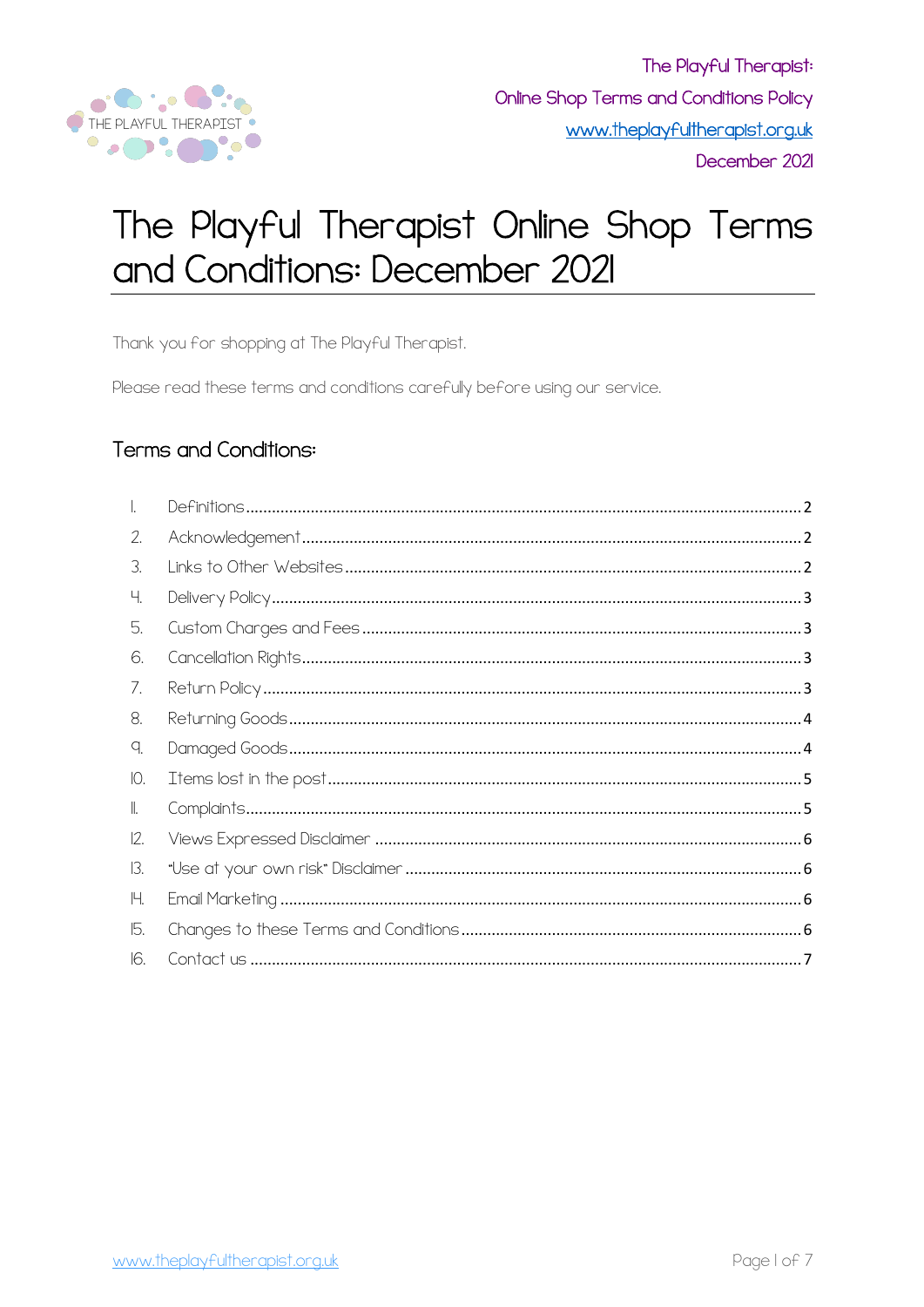

# The Playful Therapist Online Shop Terms and Conditions: December 2021

Thank you for shopping at The Playful Therapist.

Please read these terms and conditions carefully before using our service.

## **Terms and Conditions:**

| 2.            |  |
|---------------|--|
| 3.            |  |
| Ч.            |  |
| 5.            |  |
| 6.            |  |
| $\sqrt{ }$ .  |  |
| 8.            |  |
| q.            |  |
| Ю.            |  |
| II.           |  |
| 12.           |  |
| 13.           |  |
| 14.           |  |
| $\mathbb b$ . |  |
| 16.           |  |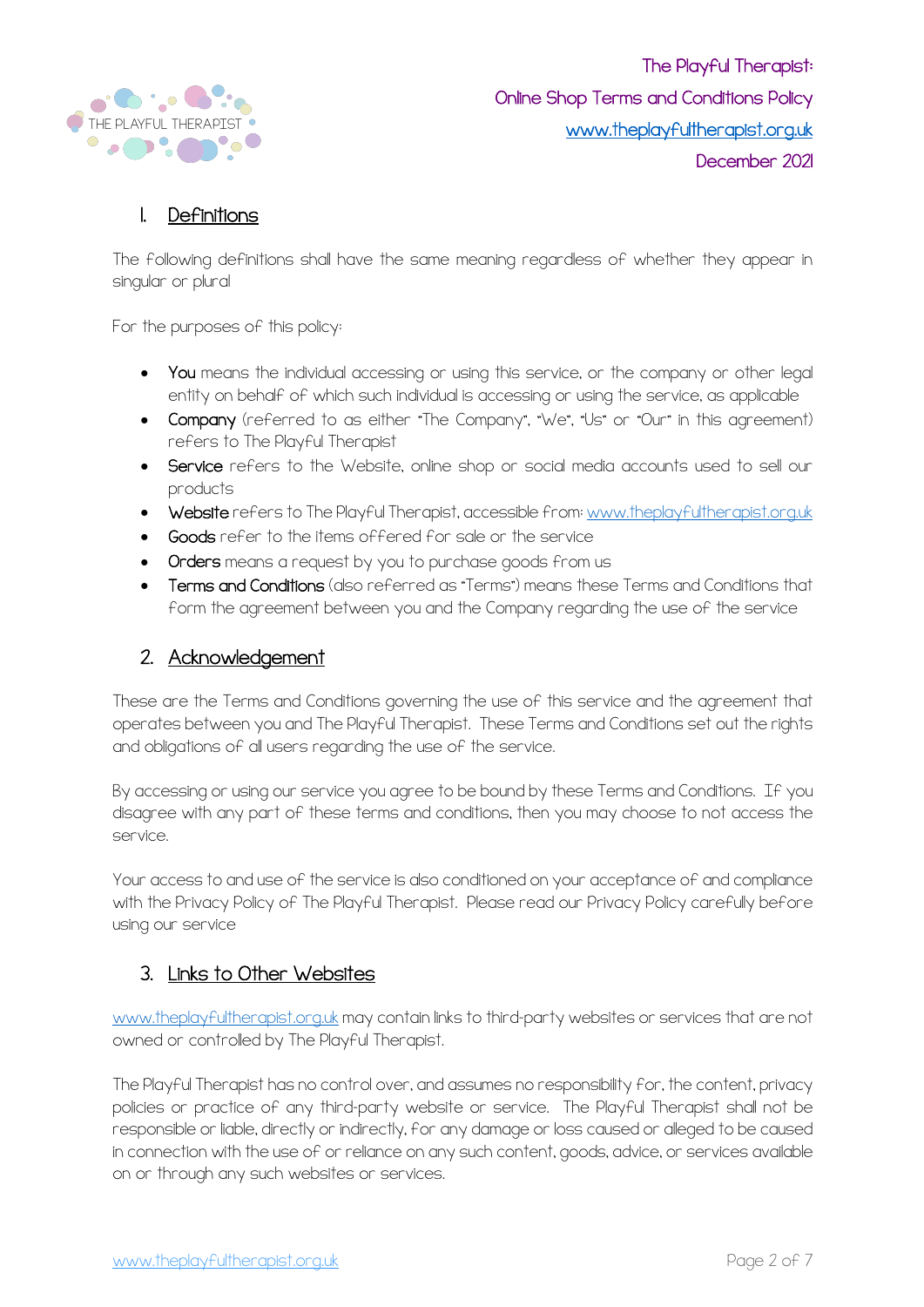

#### 1. Definitions

The following definitions shall have the same meaning regardless of whether they appear in singular or plural

For the purposes of this policy:

- You means the individual accessing or using this service, or the company or other legal entity on behalf of which such individual is accessing or using the service, as applicable
- Company (referred to as either "The Company", "We", "Us" or "Our" in this agreement) refers to The Playful Therapist
- Service refers to the Website, online shop or social media accounts used to sell our products
- Website refers to The Playful Therapist, accessible from: www.theplayfultherapist.org.uk
- Goods refer to the items offered for sale or the service
- Orders means a request by you to purchase goods from us
- Terms and Conditions (also referred as "Terms") means these Terms and Conditions that form the agreement between you and the Company regarding the use of the service

#### 2. Acknowledgement

These are the Terms and Conditions governing the use of this service and the agreement that operates between you and The Playful Therapist. These Terms and Conditions set out the rights and obligations of all users regarding the use of the service.

By accessing or using our service you agree to be bound by these Terms and Conditions. If you disagree with any part of these terms and conditions, then you may choose to not access the service.

Your access to and use of the service is also conditioned on your acceptance of and compliance with the Privacy Policy of The Playful Therapist. Please read our Privacy Policy carefully before using our service

#### 3. Links to Other Websites

www.theplayfultherapist.org.uk may contain links to third-party websites or services that are not owned or controlled by The Playful Therapist.

The Playful Therapist has no control over, and assumes no responsibility for, the content, privacy policies or practice of any third-party website or service. The Playful Therapist shall not be responsible or liable, directly or indirectly, for any damage or loss caused or alleged to be caused in connection with the use of or reliance on any such content, goods, advice, or services available on or through any such websites or services.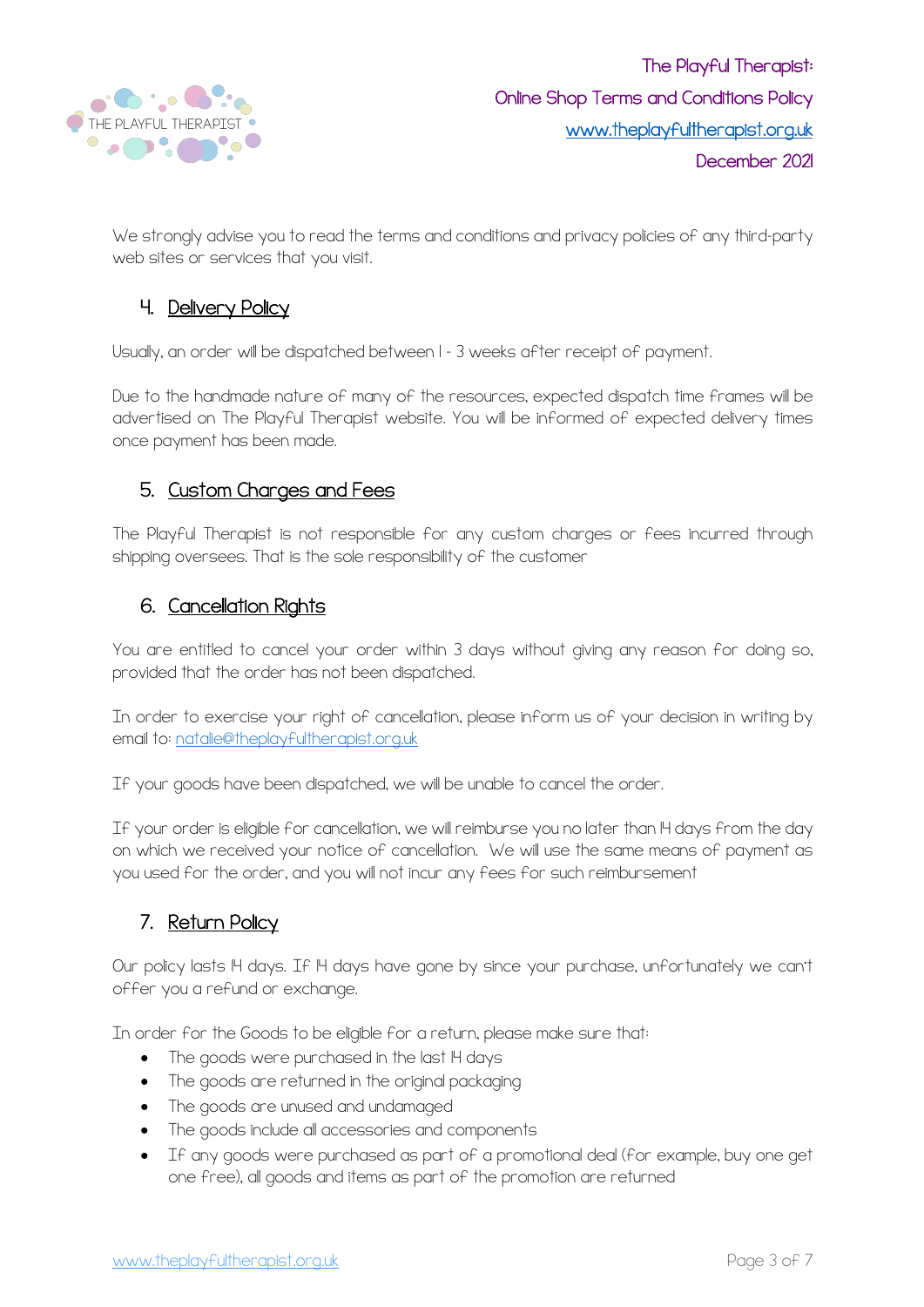

We strongly advise you to read the terms and conditions and privacy policies of any third-party web sites or services that you visit.

#### 4. Delivery Policy

Usually, an order will be dispatched between 1 – 3 weeks after receipt of payment.

Due to the handmade nature of many of the resources, expected dispatch time frames will be advertised on The Playful Therapist website. You will be informed of expected delivery times once payment has been made.

## 5. Custom Charges and Fees

The Playful Therapist is not responsible for any custom charges or fees incurred through shipping oversees. That is the sole responsibility of the customer

## 6. Cancellation Rights

You are entitled to cancel your order within 3 days without giving any reason for doing so, provided that the order has not been dispatched.

In order to exercise your right of cancellation, please inform us of your decision in writing by email to: natalie@theplayfultherapist.org.uk

If your goods have been dispatched, we will be unable to cancel the order.

If your order is eligible for cancellation, we will reimburse you no later than 14 days from the day on which we received your notice of cancellation. We will use the same means of payment as you used for the order, and you will not incur any fees for such reimbursement

## 7. Return Policy

Our policy lasts IH days. If IH days have gone by since your purchase, unfortunately we can't offer you a refund or exchange.

In order for the Goods to be eligible for a return, please make sure that:

- The goods were purchased in the last I4 days
- The goods are returned in the original packaging
- The goods are unused and undamaged
- The goods include all accessories and components
- If any goods were purchased as part of a promotional deal (for example, buy one get one free), all goods and items as part of the promotion are returned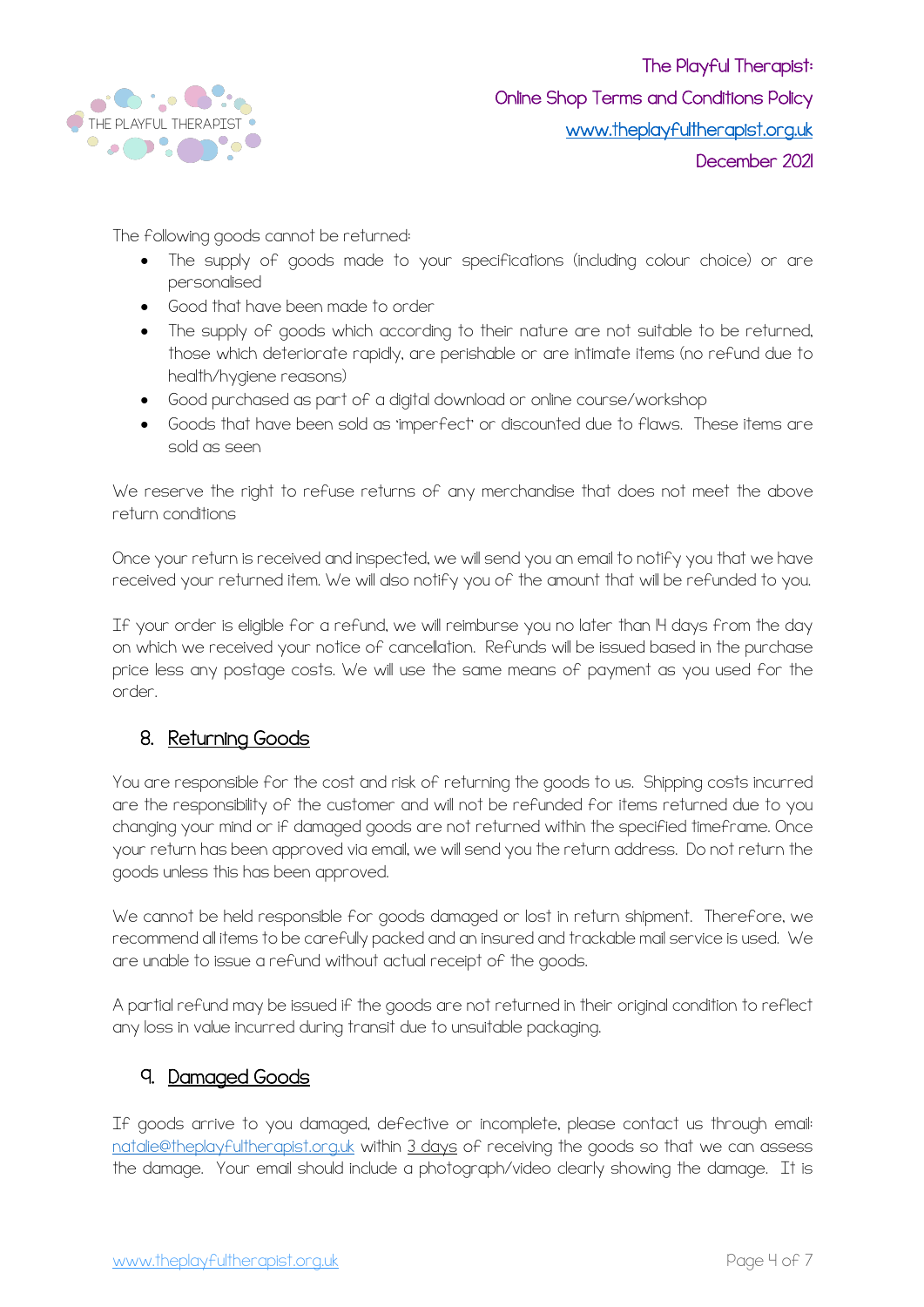

The following goods cannot be returned:

- The supply of goods made to your specifications (including colour choice) or are personalised
- Good that have been made to order
- The supply of goods which according to their nature are not suitable to be returned, those which deteriorate rapidly, are perishable or are intimate items (no refund due to health/hygiene reasons)
- Good purchased as part of a digital download or online course/workshop
- Goods that have been sold as 'imperfect' or discounted due to flaws. These items are sold as seen

We reserve the right to refuse returns of any merchandise that does not meet the above return conditions

Once your return is received and inspected, we will send you an email to notify you that we have received your returned item. We will also notify you of the amount that will be refunded to you.

If your order is eligible for a refund, we will reimburse you no later than 14 days from the day on which we received your notice of cancellation. Refunds will be issued based in the purchase price less any postage costs. We will use the same means of payment as you used for the order.

#### 8. Returning Goods

You are responsible for the cost and risk of returning the goods to us. Shipping costs incurred are the responsibility of the customer and will not be refunded for items returned due to you changing your mind or if damaged goods are not returned within the specified timeframe. Once your return has been approved via email, we will send you the return address. Do not return the goods unless this has been approved.

We cannot be held responsible for goods damaged or lost in return shipment. Therefore, we recommend all items to be carefully packed and an insured and trackable mail service is used. We are unable to issue a refund without actual receipt of the goods.

A partial refund may be issued if the goods are not returned in their original condition to reflect any loss in value incurred during transit due to unsuitable packaging.

#### 9. Damaged Goods

If goods arrive to you damaged, defective or incomplete, please contact us through email: natalie@theplayfultherapist.org.uk within 3 days of receiving the goods so that we can assess the damage. Your email should include a photograph/video clearly showing the damage. It is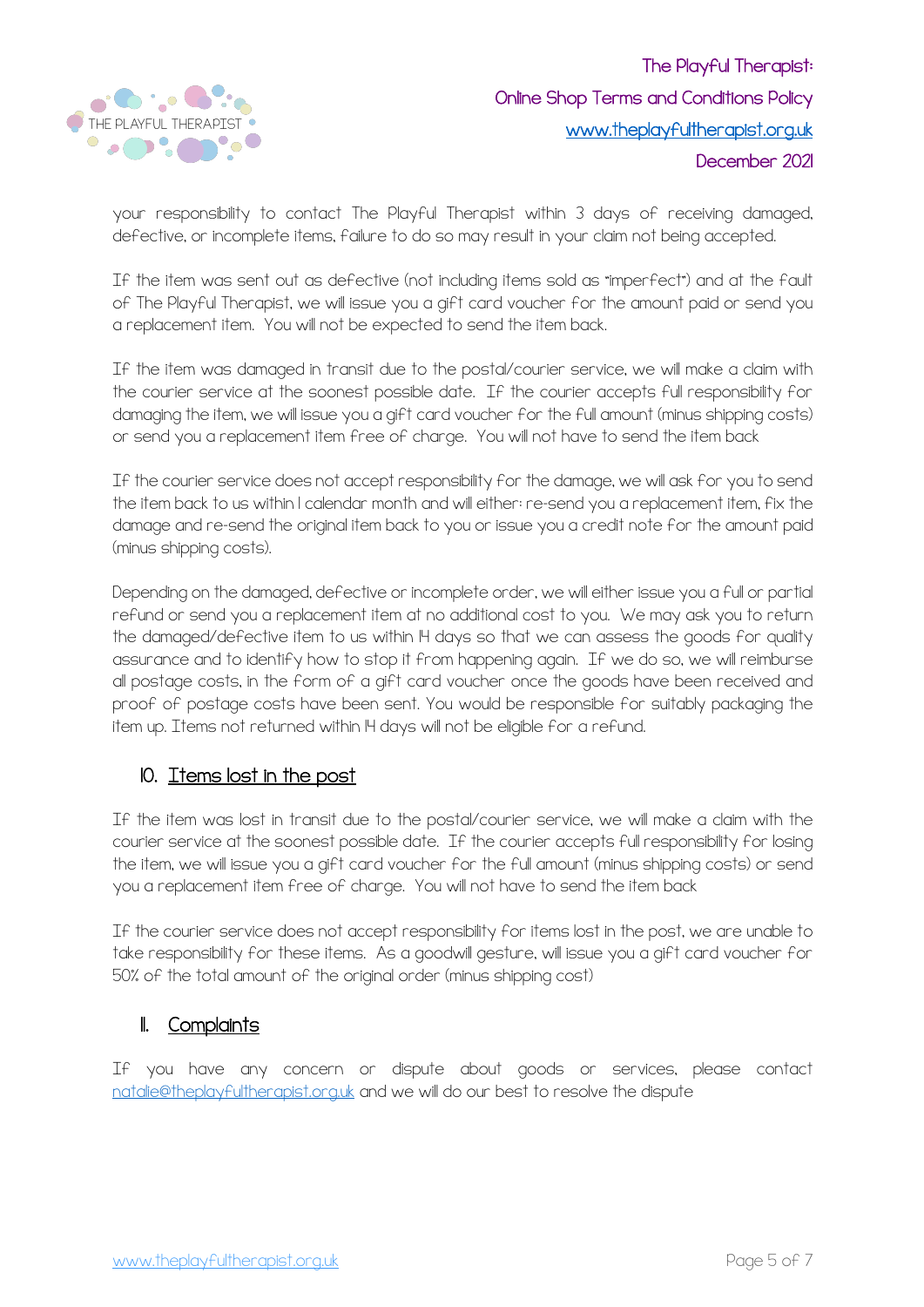

your responsibility to contact The Playful Therapist within 3 days of receiving damaged, defective, or incomplete items, failure to do so may result in your claim not being accepted.

If the item was sent out as defective (not including items sold as "imperfect") and at the fault of The Playful Therapist, we will issue you a gift card voucher for the amount paid or send you a replacement item. You will not be expected to send the item back.

If the item was damaged in transit due to the postal/courier service, we will make a claim with the courier service at the soonest possible date. If the courier accepts full responsibility for damaging the item, we will issue you a gift card voucher for the full amount (minus shipping costs) or send you a replacement item free of charge. You will not have to send the item back

If the courier service does not accept responsibility for the damage, we will ask for you to send the item back to us within 1 calendar month and will either: re-send you a replacement item, fix the damage and re-send the original item back to you or issue you a credit note for the amount paid (minus shipping costs).

Depending on the damaged, defective or incomplete order, we will either issue you a full or partial refund or send you a replacement item at no additional cost to you. We may ask you to return the damaged/defective item to us within IH days so that we can assess the goods for quality assurance and to identify how to stop it from happening again. If we do so, we will reimburse all postage costs, in the form of a gift card voucher once the goods have been received and proof of postage costs have been sent. You would be responsible for suitably packaging the item up. Items not returned within 14 days will not be eligible for a refund.

## IO. Items lost in the post

If the item was lost in transit due to the postal/courier service, we will make a claim with the courier service at the soonest possible date. If the courier accepts full responsibility for losing the item, we will issue you a gift card voucher for the full amount (minus shipping costs) or send you a replacement item free of charge. You will not have to send the item back

If the courier service does not accept responsibility for items lost in the post, we are unable to take responsibility for these items. As a goodwill gesture, will issue you a gift card voucher for 50% of the total amount of the original order (minus shipping cost)

#### **II.** Complaints

If you have any concern or dispute about goods or services, please contact natalie@theplayfultherapist.org.uk and we will do our best to resolve the dispute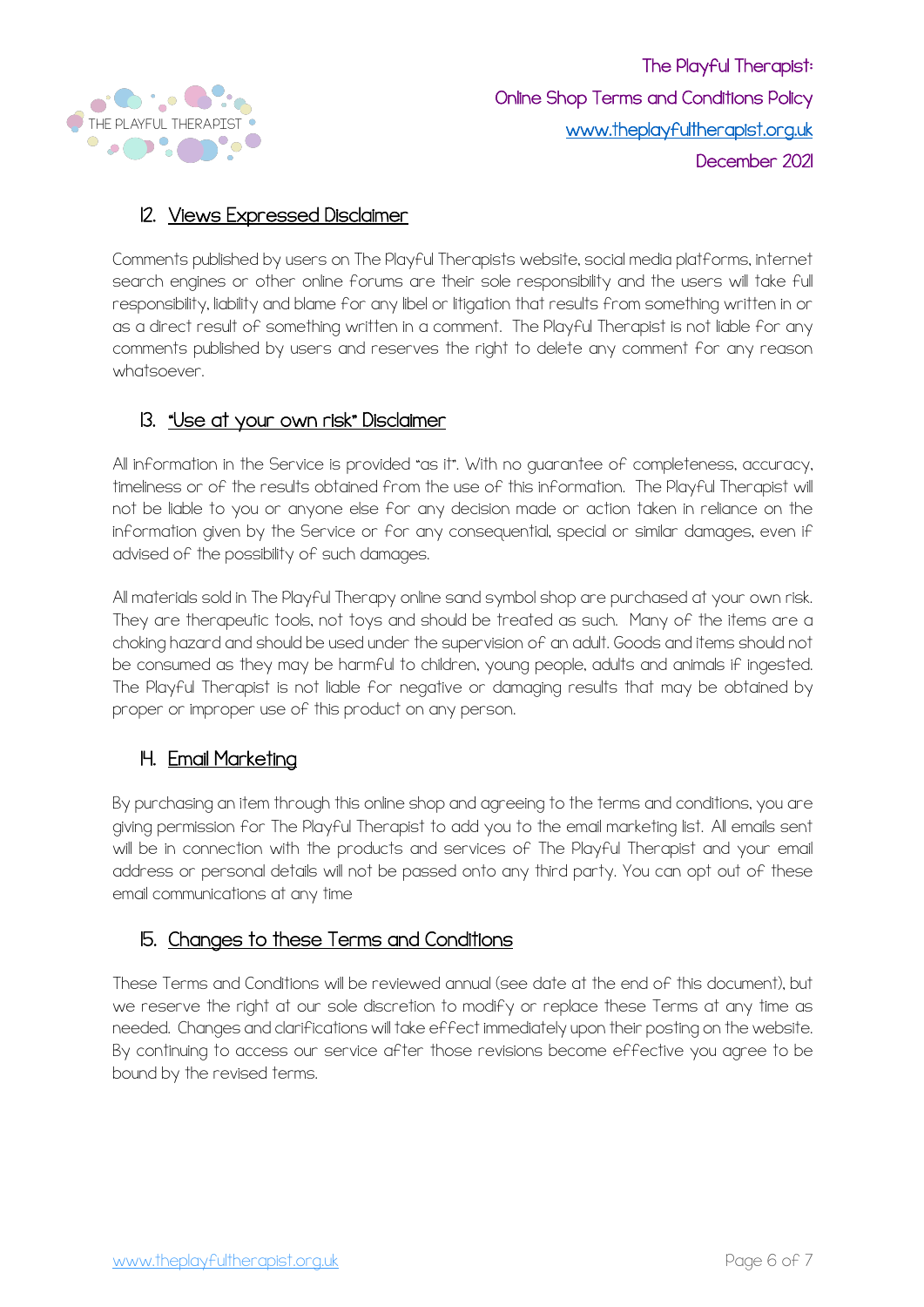

## 12. Views Expressed Disclaimer

Comments published by users on The Playful Therapists website, social media platforms, internet search engines or other online forums are their sole responsibility and the users will take full responsibility, liability and blame for any libel or litigation that results from something written in or as a direct result of something written in a comment. The Playful Therapist is not liable for any comments published by users and reserves the right to delete any comment for any reason whatsoever.

#### 13. <u>"Use at your own risk" Disclaimer</u>

All information in the Service is provided "as it". With no guarantee of completeness, accuracy, timeliness or of the results obtained from the use of this information. The Playful Therapist will not be liable to you or anyone else for any decision made or action taken in reliance on the information given by the Service or for any consequential, special or similar damages, even if advised of the possibility of such damages.

All materials sold in The Playful Therapy online sand symbol shop are purchased at your own risk. They are therapeutic tools, not toys and should be treated as such. Many of the items are a choking hazard and should be used under the supervision of an adult. Goods and items should not be consumed as they may be harmful to children, young people, adults and animals if ingested. The Playful Therapist is not liable for negative or damaging results that may be obtained by proper or improper use of this product on any person.

## H. Email Marketing

By purchasing an item through this online shop and agreeing to the terms and conditions, you are giving permission for The Playful Therapist to add you to the email marketing list. All emails sent will be in connection with the products and services of The Playful Therapist and your email address or personal details will not be passed onto any third party. You can opt out of these email communications at any time

#### 15. Changes to these Terms and Conditions

These Terms and Conditions will be reviewed annual (see date at the end of this document), but we reserve the right at our sole discretion to modify or replace these Terms at any time as needed. Changes and clarifications will take effect immediately upon their posting on the website. By continuing to access our service after those revisions become effective you agree to be bound by the revised terms.